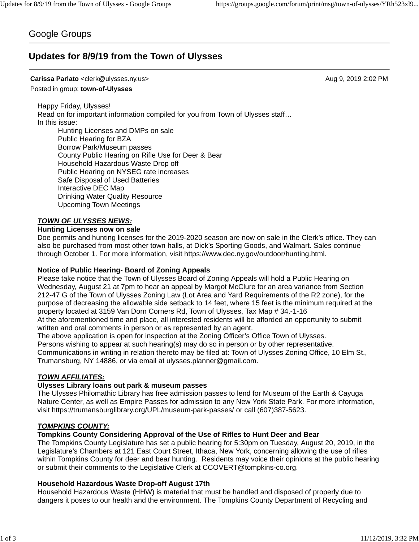# Google Groups

# **Updates for 8/9/19 from the Town of Ulysses**

#### **Carissa Parlato** <clerk@ulysses.ny.us> Aug 9, 2019 2:02 PM

#### Posted in group: **town-of-Ulysses**

Happy Friday, Ulysses! Read on for important information compiled for you from Town of Ulysses staff… In this issue: Hunting Licenses and DMPs on sale Public Hearing for BZA

Borrow Park/Museum passes County Public Hearing on Rifle Use for Deer & Bear Household Hazardous Waste Drop off Public Hearing on NYSEG rate increases Safe Disposal of Used Batteries Interactive DEC Map Drinking Water Quality Resource Upcoming Town Meetings

#### *TOWN OF ULYSSES NEWS:*

#### **Hunting Licenses now on sale**

Doe permits and hunting licenses for the 2019-2020 season are now on sale in the Clerk's office. They can also be purchased from most other town halls, at Dick's Sporting Goods, and Walmart. Sales continue through October 1. For more information, visit https://www.dec.ny.gov/outdoor/hunting.html.

### **Notice of Public Hearing- Board of Zoning Appeals**

Please take notice that the Town of Ulysses Board of Zoning Appeals will hold a Public Hearing on Wednesday, August 21 at 7pm to hear an appeal by Margot McClure for an area variance from Section 212-47 G of the Town of Ulysses Zoning Law (Lot Area and Yard Requirements of the R2 zone), for the purpose of decreasing the allowable side setback to 14 feet, where 15 feet is the minimum required at the property located at 3159 Van Dorn Corners Rd, Town of Ulysses, Tax Map # 34.-1-16

At the aforementioned time and place, all interested residents will be afforded an opportunity to submit written and oral comments in person or as represented by an agent.

The above application is open for inspection at the Zoning Officer's Office Town of Ulysses. Persons wishing to appear at such hearing(s) may do so in person or by other representative. Communications in writing in relation thereto may be filed at: Town of Ulysses Zoning Office, 10 Elm St., Trumansburg, NY 14886, or via email at ulysses.planner@gmail.com.

### *TOWN AFFILIATES:*

### **Ulysses Library loans out park & museum passes**

The Ulysses Philomathic Library has free admission passes to lend for Museum of the Earth & Cayuga Nature Center, as well as Empire Passes for admission to any New York State Park. For more information, visit https://trumansburglibrary.org/UPL/museum-park-passes/ or call (607)387-5623.

### *TOMPKINS COUNTY:*

#### **Tompkins County Considering Approval of the Use of Rifles to Hunt Deer and Bear**

The Tompkins County Legislature has set a public hearing for 5:30pm on Tuesday, August 20, 2019, in the Legislature's Chambers at 121 East Court Street, Ithaca, New York, concerning allowing the use of rifles within Tompkins County for deer and bear hunting. Residents may voice their opinions at the public hearing or submit their comments to the Legislative Clerk at CCOVERT@tompkins-co.org.

#### **Household Hazardous Waste Drop-off August 17th**

Household Hazardous Waste (HHW) is material that must be handled and disposed of properly due to dangers it poses to our health and the environment. The Tompkins County Department of Recycling and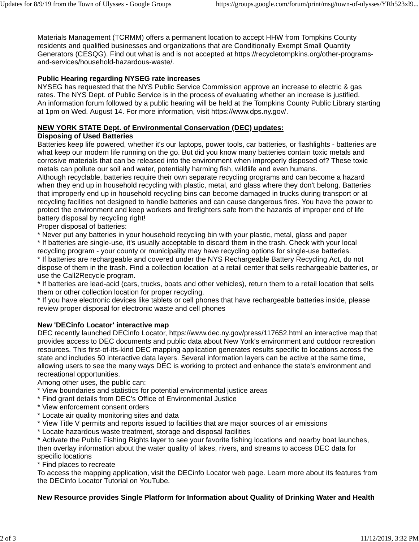Materials Management (TCRMM) offers a permanent location to accept HHW from Tompkins County residents and qualified businesses and organizations that are Conditionally Exempt Small Quantity Generators (CESQG). Find out what is and is not accepted at https://recycletompkins.org/other-programsand-services/household-hazardous-waste/.

## **Public Hearing regarding NYSEG rate increases**

NYSEG has requested that the NYS Public Service Commission approve an increase to electric & gas rates. The NYS Dept. of Public Service is in the process of evaluating whether an increase is justified. An information forum followed by a public hearing will be held at the Tompkins County Public Library starting at 1pm on Wed. August 14. For more information, visit https://www.dps.ny.gov/.

## **NEW YORK STATE Dept. of Environmental Conservation (DEC) updates:**

## **Disposing of Used Batteries**

Batteries keep life powered, whether it's our laptops, power tools, car batteries, or flashlights - batteries are what keep our modern life running on the go. But did you know many batteries contain toxic metals and corrosive materials that can be released into the environment when improperly disposed of? These toxic metals can pollute our soil and water, potentially harming fish, wildlife and even humans.

Although recyclable, batteries require their own separate recycling programs and can become a hazard when they end up in household recycling with plastic, metal, and glass where they don't belong. Batteries that improperly end up in household recycling bins can become damaged in trucks during transport or at recycling facilities not designed to handle batteries and can cause dangerous fires. You have the power to protect the environment and keep workers and firefighters safe from the hazards of improper end of life battery disposal by recycling right!

Proper disposal of batteries:

\* Never put any batteries in your household recycling bin with your plastic, metal, glass and paper

\* If batteries are single-use, it's usually acceptable to discard them in the trash. Check with your local recycling program - your county or municipality may have recycling options for single-use batteries.

\* If batteries are rechargeable and covered under the NYS Rechargeable Battery Recycling Act, do not dispose of them in the trash. Find a collection location at a retail center that sells rechargeable batteries, or use the Call2Recycle program.

\* If batteries are lead-acid (cars, trucks, boats and other vehicles), return them to a retail location that sells them or other collection location for proper recycling.

\* If you have electronic devices like tablets or cell phones that have rechargeable batteries inside, please review proper disposal for electronic waste and cell phones

## **New 'DECinfo Locator' interactive map**

DEC recently launched DECinfo Locator, https://www.dec.ny.gov/press/117652.html an interactive map that provides access to DEC documents and public data about New York's environment and outdoor recreation resources. This first-of-its-kind DEC mapping application generates results specific to locations across the state and includes 50 interactive data layers. Several information layers can be active at the same time, allowing users to see the many ways DEC is working to protect and enhance the state's environment and recreational opportunities.

Among other uses, the public can:

- \* View boundaries and statistics for potential environmental justice areas
- \* Find grant details from DEC's Office of Environmental Justice
- \* View enforcement consent orders
- \* Locate air quality monitoring sites and data
- \* View Title V permits and reports issued to facilities that are major sources of air emissions
- \* Locate hazardous waste treatment, storage and disposal facilities

\* Activate the Public Fishing Rights layer to see your favorite fishing locations and nearby boat launches, then overlay information about the water quality of lakes, rivers, and streams to access DEC data for specific locations

\* Find places to recreate

To access the mapping application, visit the DECinfo Locator web page. Learn more about its features from the DECinfo Locator Tutorial on YouTube.

## **New Resource provides Single Platform for Information about Quality of Drinking Water and Health**